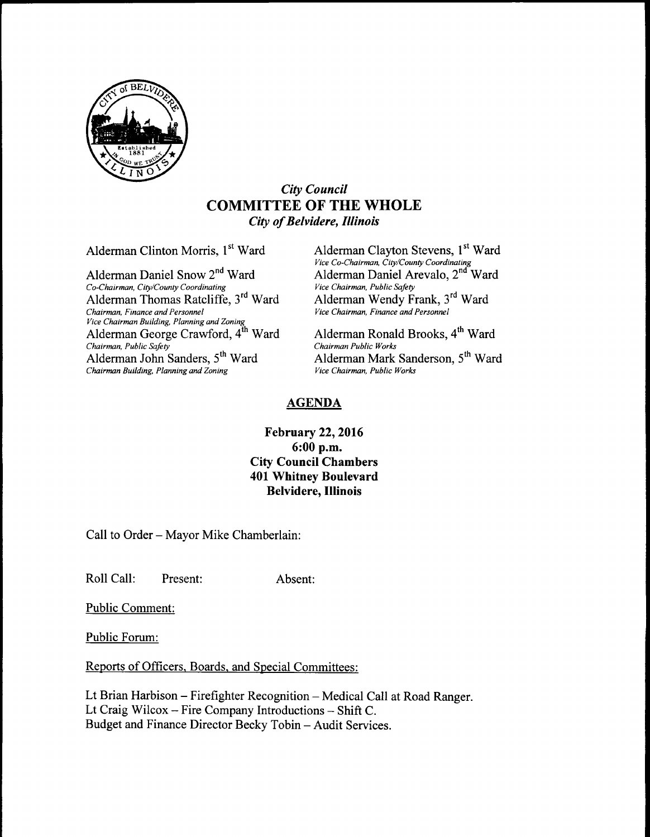

## City Council COMMITTEE OF THE WHOLE City of Belvidere, Illinois

Alderman Clinton Morris, 1<sup>st</sup> Ward Alderman Clayton Stevens, 1<sup>st</sup> Ward

Co-Chairman, City/County Coordinating Vice Chairman, Public Safety Alderman Thomas Ratcliffe, 3<sup>rd</sup> Ward Chairman, Finance and Personnel Vice Chairman Building, Planning and Zoning Alderman George Crawford,  $4^{th}$  Ward Alderman Ronald Brooks,  $4^{th}$  Ward Chairman Public Works Chairman, Public Safety<br>Alderman John Sanders, 5<sup>th</sup> Ward Chairman Building, Planning and Zoning

Vice Co-Chairman, City/County Coordinating<br>Alderman Daniel Snow 2<sup>nd</sup> Ward Alderman Daniel Arevalo, 2<sup>nd</sup> Ward Alderman Wendy Frank, 3<sup>rd</sup> Ward Vice Chairman, Finance and Personnel

Alderman Mark Sanderson, 5<sup>th</sup> Ward Vice Chairman, Public Works

## AGENDA

## February 22, 2016 6: 00 p.m. City Council Chambers 401 Whitney Boulevard Belvidere, Illinois

Call to Order—Mayor Mike Chamberlain:

Roll Call: Present: Absent:

Public Comment:

Public Forum:

Reports of Officers, Boards, and Special Committees:

Lt Brian Harbison—Firefighter Recognition— Medical Call at Road Ranger. Lt Craig Wilcox—Fire Company Introductions— Shift C. Budget and Finance Director Becky Tobin—Audit Services.